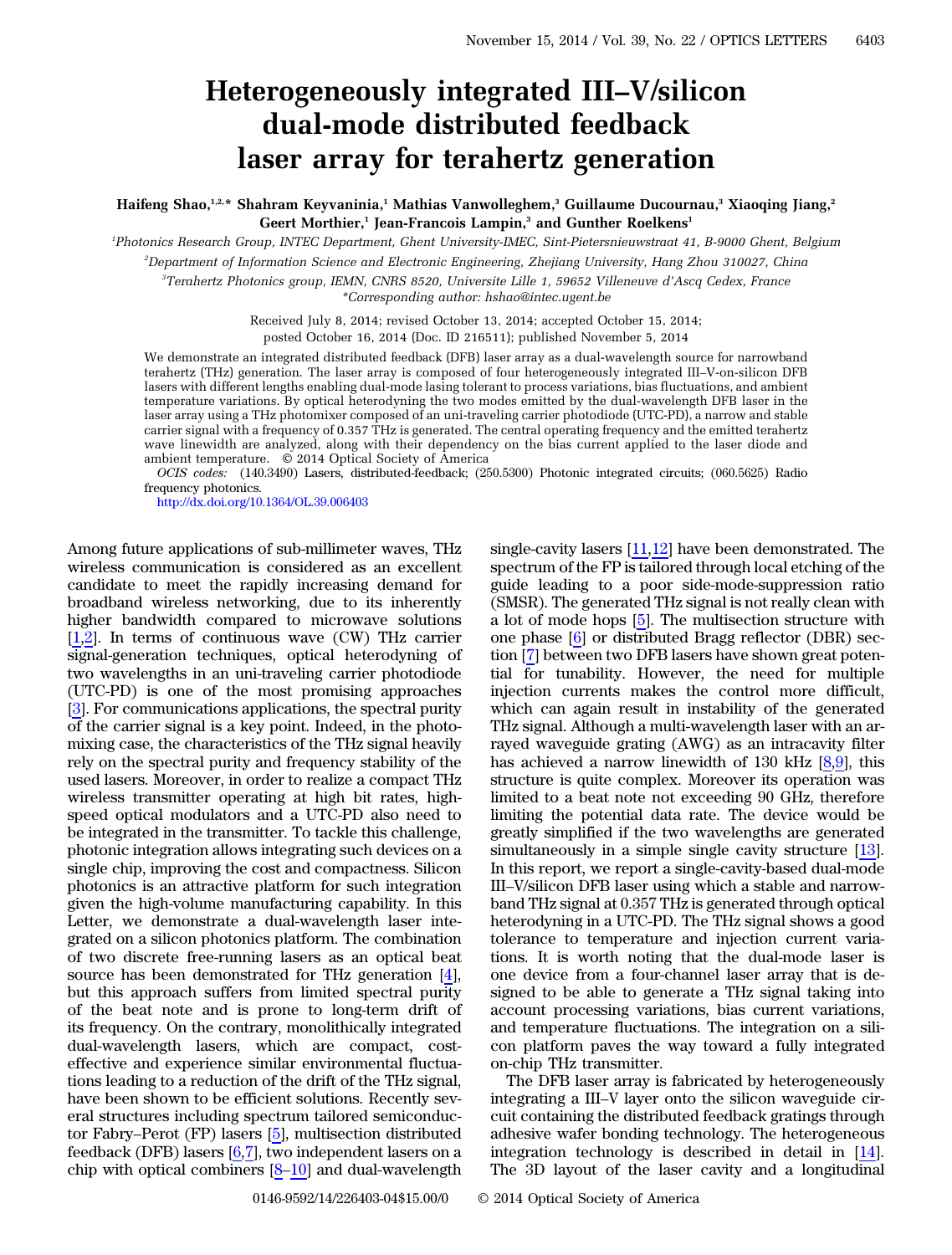## Heterogeneously integrated III–V/silicon dual-mode distributed feedback laser array for terahertz generation

Haifeng Shao,<sup>1,2,\*</sup> Shahram Keyvaninia,<sup>1</sup> Mathias Vanwolleghem,<sup>3</sup> Guillaume Ducournau,<sup>3</sup> Xiaoqing Jiang,<sup>2</sup> Geert Morthier,<sup>1</sup> Jean-Francois Lampin,<sup>3</sup> and Gunther Roelkens<sup>1</sup>

1 Photonics Research Group, INTEC Department, Ghent University-IMEC, Sint-Pietersnieuwstraat 41, B-9000 Ghent, Belgium

2 Department of Information Science and Electronic Engineering, Zhejiang University, Hang Zhou 310027, China

3 Terahertz Photonics group, IEMN, CNRS 8520, Universite Lille 1, 59652 Villeneuve d'Ascq Cedex, France \*Corresponding author: hshao@intec.ugent.be

> Received July 8, 2014; revised October 13, 2014; accepted October 15, 2014; posted October 16, 2014 (Doc. ID 216511); published November 5, 2014

We demonstrate an integrated distributed feedback (DFB) laser array as a dual-wavelength source for narrowband terahertz (THz) generation. The laser array is composed of four heterogeneously integrated III–V-on-silicon DFB lasers with different lengths enabling dual-mode lasing tolerant to process variations, bias fluctuations, and ambient temperature variations. By optical heterodyning the two modes emitted by the dual-wavelength DFB laser in the laser array using a THz photomixer composed of an uni-traveling carrier photodiode (UTC-PD), a narrow and stable carrier signal with a frequency of 0.357 THz is generated. The central operating frequency and the emitted terahertz wave linewidth are analyzed, along with their dependency on the bias current applied to the laser diode and ambient temperature. © 2014 Optical Society of America

OCIS codes: (140.3490) Lasers, distributed-feedback; (250.5300) Photonic integrated circuits; (060.5625) Radio frequency photonics.

<http://dx.doi.org/10.1364/OL.39.006403>

Among future applications of sub-millimeter waves, THz wireless communication is considered as an excellent candidate to meet the rapidly increasing demand for broadband wireless networking, due to its inherently higher bandwidth compared to microwave solutions [\[1](#page-3-0),[2\]](#page-3-1). In terms of continuous wave (CW) THz carrier signal-generation techniques, optical heterodyning of two wavelengths in an uni-traveling carrier photodiode (UTC-PD) is one of the most promising approaches [\[3](#page-3-2)]. For communications applications, the spectral purity of the carrier signal is a key point. Indeed, in the photomixing case, the characteristics of the THz signal heavily rely on the spectral purity and frequency stability of the used lasers. Moreover, in order to realize a compact THz wireless transmitter operating at high bit rates, highspeed optical modulators and a UTC-PD also need to be integrated in the transmitter. To tackle this challenge, photonic integration allows integrating such devices on a single chip, improving the cost and compactness. Silicon photonics is an attractive platform for such integration given the high-volume manufacturing capability. In this Letter, we demonstrate a dual-wavelength laser integrated on a silicon photonics platform. The combination of two discrete free-running lasers as an optical beat source has been demonstrated for THz generation [\[4](#page-3-3)], but this approach suffers from limited spectral purity of the beat note and is prone to long-term drift of its frequency. On the contrary, monolithically integrated dual-wavelength lasers, which are compact, costeffective and experience similar environmental fluctuations leading to a reduction of the drift of the THz signal, have been shown to be efficient solutions. Recently several structures including spectrum tailored semiconductor Fabry–Perot (FP) lasers [[5\]](#page-3-4), multisection distributed feedback (DFB) lasers  $[6,7]$  $[6,7]$  $[6,7]$  $[6,7]$ , two independent lasers on a chip with optical combiners [\[8](#page-3-7)–[10](#page-3-8)] and dual-wavelength

single-cavity lasers  $[11,12]$  $[11,12]$  $[11,12]$  have been demonstrated. The spectrum of the FP is tailored through local etching of the guide leading to a poor side-mode-suppression ratio (SMSR). The generated THz signal is not really clean with a lot of mode hops [[5\]](#page-3-4). The multisection structure with one phase [[6\]](#page-3-5) or distributed Bragg reflector (DBR) section [\[7](#page-3-6)] between two DFB lasers have shown great potential for tunability. However, the need for multiple injection currents makes the control more difficult, which can again result in instability of the generated THz signal. Although a multi-wavelength laser with an arrayed waveguide grating (AWG) as an intracavity filter has achieved a narrow linewidth of 130 kHz  $[8,9]$  $[8,9]$  $[8,9]$  $[8,9]$ , this structure is quite complex. Moreover its operation was limited to a beat note not exceeding 90 GHz, therefore limiting the potential data rate. The device would be greatly simplified if the two wavelengths are generated simultaneously in a simple single cavity structure [\[13](#page-3-12)]. In this report, we report a single-cavity-based dual-mode III–V/silicon DFB laser using which a stable and narrowband THz signal at 0.357 THz is generated through optical heterodyning in a UTC-PD. The THz signal shows a good tolerance to temperature and injection current variations. It is worth noting that the dual-mode laser is one device from a four-channel laser array that is designed to be able to generate a THz signal taking into account processing variations, bias current variations, and temperature fluctuations. The integration on a silicon platform paves the way toward a fully integrated on-chip THz transmitter.

The DFB laser array is fabricated by heterogeneously integrating a III–V layer onto the silicon waveguide circuit containing the distributed feedback gratings through adhesive wafer bonding technology. The heterogeneous integration technology is described in detail in [\[14](#page-3-13)]. The 3D layout of the laser cavity and a longitudinal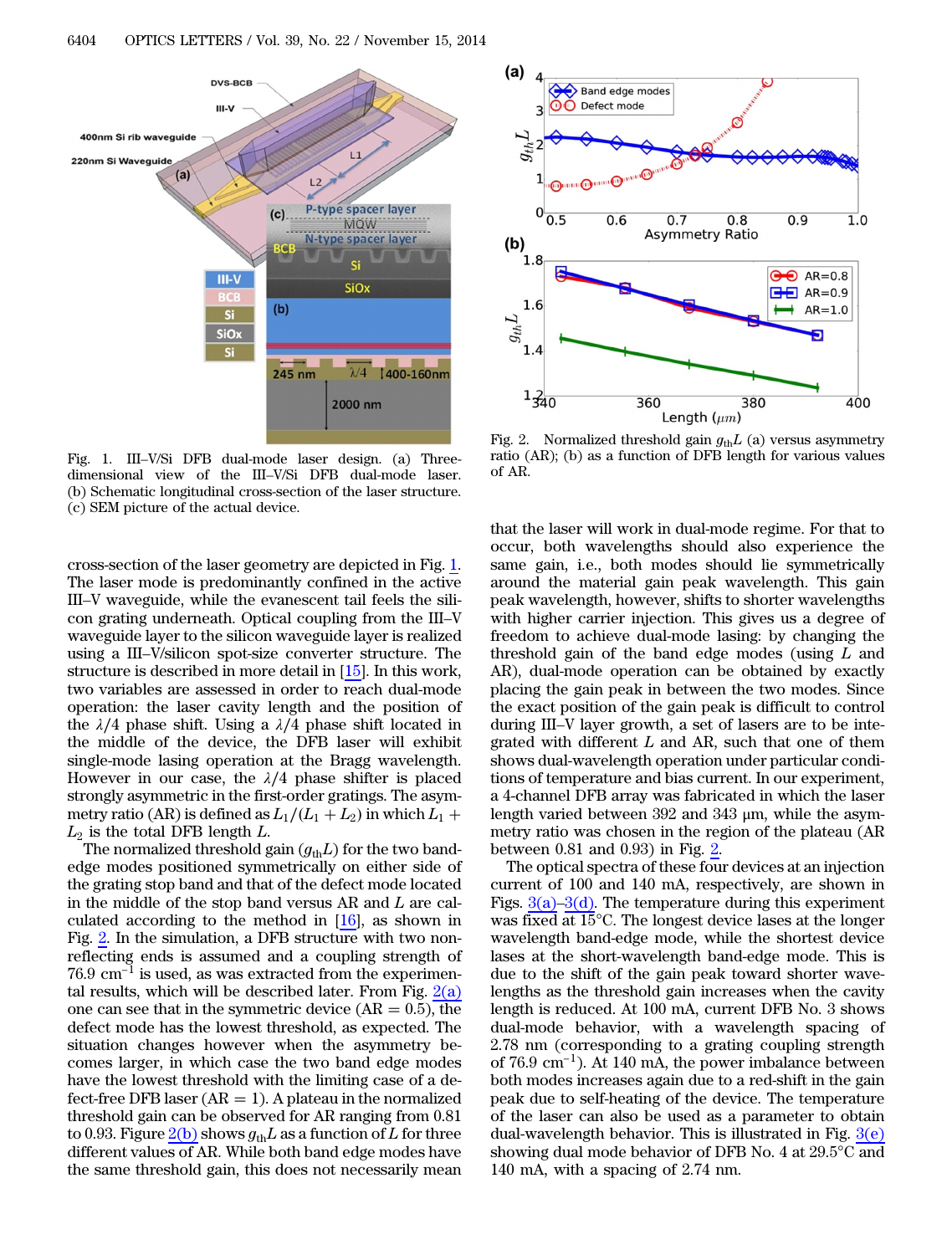<span id="page-1-0"></span>

Fig. 1. III–V/Si DFB dual-mode laser design. (a) Threedimensional view of the III–V/Si DFB dual-mode laser. (b) Schematic longitudinal cross-section of the laser structure. (c) SEM picture of the actual device.

cross-section of the laser geometry are depicted in Fig. [1.](#page-1-0) The laser mode is predominantly confined in the active III–V waveguide, while the evanescent tail feels the silicon grating underneath. Optical coupling from the III–V waveguide layer to the silicon waveguide layer is realized using a III–V/silicon spot-size converter structure. The structure is described in more detail in [\[15](#page-3-14)]. In this work, two variables are assessed in order to reach dual-mode operation: the laser cavity length and the position of the  $\lambda/4$  phase shift. Using a  $\lambda/4$  phase shift located in the middle of the device, the DFB laser will exhibit single-mode lasing operation at the Bragg wavelength. However in our case, the  $\lambda/4$  phase shifter is placed strongly asymmetric in the first-order gratings. The asymmetry ratio (AR) is defined as  $L_1/(L_1 + L_2)$  in which  $L_1$  +  $L_2$  is the total DFB length  $L$ .

The normalized threshold gain  $(g_{th}L)$  for the two bandedge modes positioned symmetrically on either side of the grating stop band and that of the defect mode located in the middle of the stop band versus AR and L are calculated according to the method in  $[16]$  $[16]$ , as shown in Fig. [2.](#page-1-1) In the simulation, a DFB structure with two non-<br>Fig. 2. In the simulation, a DFB structure with two non-<br>reflecting ends is assumed and a coupling strength of<br>76.9 cm<sup>-1</sup> is used, as was extracted from the experi reflecting ends is assumed and a coupling strength of tal results, which will be described later. From Fig.  $2(a)$ one can see that in the symmetric device  $(AR = 0.5)$ , the defect mode has the lowest threshold, as expected. The situation changes however when the asymmetry becomes larger, in which case the two band edge modes have the lowest threshold with the limiting case of a defect-free DFB laser ( $AR = 1$ ). A plateau in the normalized threshold gain can be observed for AR ranging from 0.81 to 0.93. Figure  $2(b)$  shows  $g_{th}L$  as a function of L for three different values of AR. While both band edge modes have the same threshold gain, this does not necessarily mean

<span id="page-1-1"></span>

Fig. 2. Normalized threshold gain  $g_{th}L$  (a) versus asymmetry ratio (AR); (b) as a function of DFB length for various values of AR.

that the laser will work in dual-mode regime. For that to occur, both wavelengths should also experience the same gain, i.e., both modes should lie symmetrically around the material gain peak wavelength. This gain peak wavelength, however, shifts to shorter wavelengths with higher carrier injection. This gives us a degree of freedom to achieve dual-mode lasing: by changing the threshold gain of the band edge modes (using  $L$  and AR), dual-mode operation can be obtained by exactly placing the gain peak in between the two modes. Since the exact position of the gain peak is difficult to control during III–V layer growth, a set of lasers are to be integrated with different  $L$  and AR, such that one of them shows dual-wavelength operation under particular conditions of temperature and bias current. In our experiment, a 4-channel DFB array was fabricated in which the laser length varied between 392 and 343 μm, while the asymmetry ratio was chosen in the region of the plateau (AR between 0.81 and 0.93) in Fig. [2](#page-1-1).

The optical spectra of these four devices at an injection current of 100 and 140 mA, respectively, are shown in Figs.  $3(a)-3(d)$  $3(a)-3(d)$ . The temperature during this experiment was fixed at 15°C. The longest device lases at the longer wavelength band-edge mode, while the shortest device lases at the short-wavelength band-edge mode. This is due to the shift of the gain peak toward shorter wavelengths as the threshold gain increases when the cavity length is reduced. At 100 mA, current DFB No. 3 shows dual-mode behavior, with a wavelength spacing of 2.78 nm (corresponding to a grating coupling strength of 76.9 cm−1). At 140 mA, the power imbalance between  $2.78 \text{ nm}$  (corresponding to a grating coupling strength of 76.9 cm<sup>-1</sup>). At 140 mA, the power imbalance between both modes increases again due to a red-shift in the gain peak due to self-heating of the device. The temperature of the laser can also be used as a parameter to obtain dual-wavelength behavior. This is illustrated in Fig.  $3(e)$ showing dual mode behavior of DFB No. 4 at 29.5°C and 140 mA, with a spacing of 2.74 nm.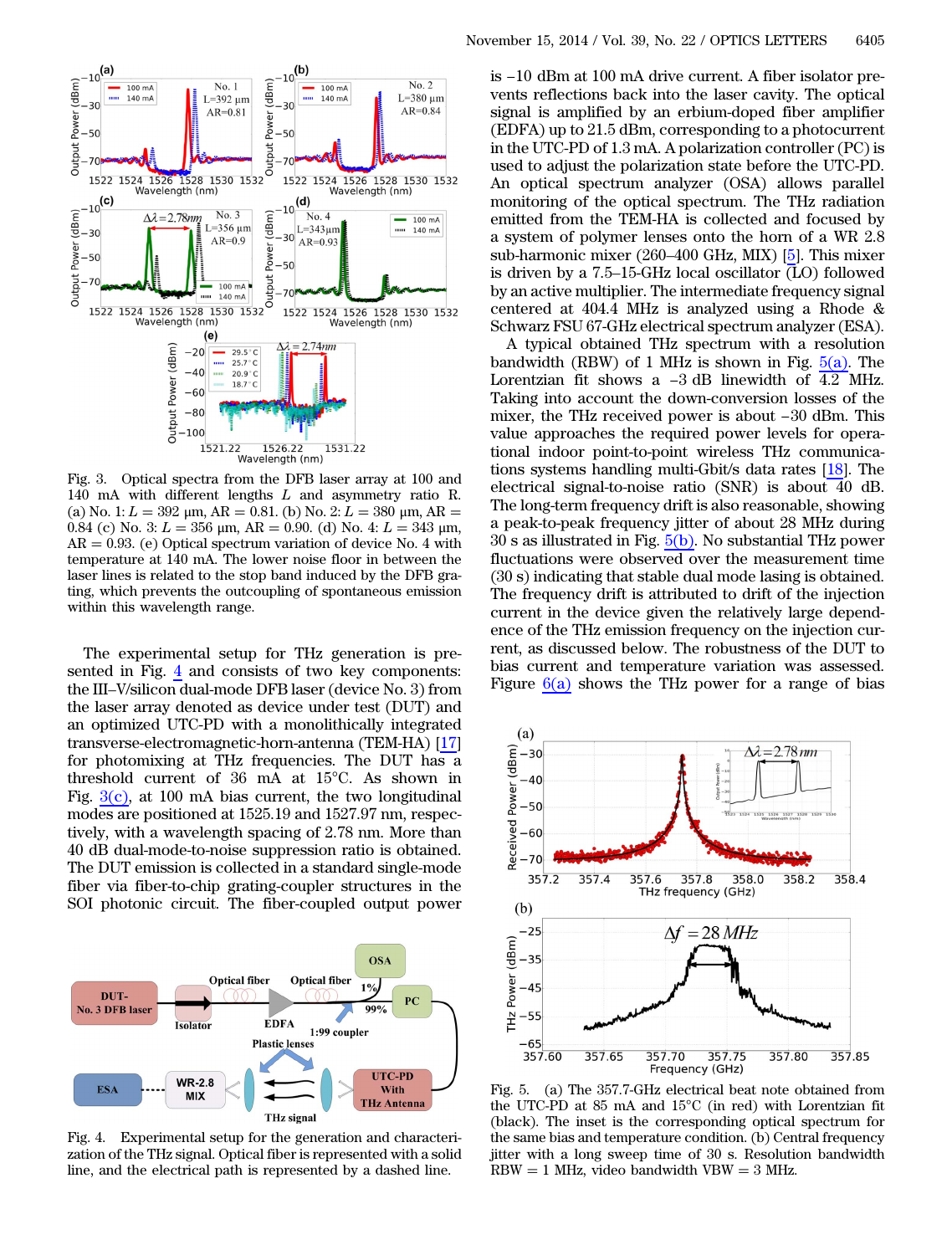<span id="page-2-0"></span>

Fig. 3. Optical spectra from the DFB laser array at 100 and 140 mA with different lengths L and asymmetry ratio R. (a) No. 1:  $L = 392 \mu m$ ,  $AR = 0.81$ . (b) No. 2:  $L = 380 \mu m$ ,  $AR =$ 0.84 (c) No. 3:  $L = 356$  μm, AR = 0.90. (d) No. 4:  $L = 343$  μm,  $AR = 0.93$ . (e) Optical spectrum variation of device No. 4 with temperature at 140 mA. The lower noise floor in between the laser lines is related to the stop band induced by the DFB grating, which prevents the outcoupling of spontaneous emission within this wavelength range.

The experimental setup for THz generation is presented in Fig. [4](#page-2-1) and consists of two key components: the III–V/silicon dual-mode DFB laser (device No. 3) from the laser array denoted as device under test (DUT) and an optimized UTC-PD with a monolithically integrated transverse-electromagnetic-horn-antenna (TEM-HA) [[17\]](#page-3-16) for photomixing at THz frequencies. The DUT has a threshold current of 36 mA at 15°C. As shown in Fig.  $3(c)$ , at 100 mA bias current, the two longitudinal modes are positioned at 1525.19 and 1527.97 nm, respectively, with a wavelength spacing of 2.78 nm. More than 40 dB dual-mode-to-noise suppression ratio is obtained. The DUT emission is collected in a standard single-mode fiber via fiber-to-chip grating-coupler structures in the SOI photonic circuit. The fiber-coupled output power

<span id="page-2-1"></span>

Fig. 4. Experimental setup for the generation and characterization of the THz signal. Optical fiber is represented with a solid line, and the electrical path is represented by a dashed line.

is −10 dBm at 100 mA drive current. A fiber isolator pre-<br>is −10 dBm at 100 mA drive current. A fiber isolator prevents reflections back into the laser cavity. The optical signal is amplified by an erbium-doped fiber amplifier (EDFA) up to 21.5 dBm, corresponding to a photocurrent in the UTC-PD of 1.3 mA. A polarization controller (PC) is used to adjust the polarization state before the UTC-PD. An optical spectrum analyzer (OSA) allows parallel monitoring of the optical spectrum. The THz radiation emitted from the TEM-HA is collected and focused by a system of polymer lenses onto the horn of a WR 2.8 sub-harmonic mixer (260–400 GHz, MIX) [\[5](#page-3-4)]. This mixer is driven by a 7.5–15-GHz local oscillator  $\overline{(L)}$  followed by an active multiplier. The intermediate frequency signal centered at 404.4 MHz is analyzed using a Rhode & Schwarz FSU 67-GHz electrical spectrum analyzer (ESA).

A typical obtained THz spectrum with a resolution bandwidth (RBW) of 1 MHz is shown in Fig.  $5(a)$ . The Lorentzian fit shows a  $-3$  dB linewidth of  $4.2$  MHz. Taking into account the down-conversion losses of the mixer, the THz received power is about  $-30$  dBm. This Schwarz FSU 67-GHz electrical spectrum analyzer (ESA).<br>A typical obtained THz spectrum with a resolution<br>bandwidth (RBW) of 1 MHz is shown in Fig.  $\frac{5(a)}{4.2}$ . The<br>Lorentzian fit shows a −3 dB linewidth of 4.2 MHz. Taking into account the down-conversion losses of the value approaches the required power levels for operational indoor point-to-point wireless THz communications systems handling multi-Gbit/s data rates [\[18](#page-3-17)]. The electrical signal-to-noise ratio (SNR) is about 40 dB. The long-term frequency drift is also reasonable, showing a peak-to-peak frequency jitter of about 28 MHz during 30 s as illustrated in Fig. [5\(b\)](#page-2-2). No substantial THz power fluctuations were observed over the measurement time (30 s) indicating that stable dual mode lasing is obtained. The frequency drift is attributed to drift of the injection current in the device given the relatively large dependence of the THz emission frequency on the injection current, as discussed below. The robustness of the DUT to bias current and temperature variation was assessed. Figure  $6(a)$  shows the THz power for a range of bias

<span id="page-2-2"></span>

Fig. 5. (a) The 357.7-GHz electrical beat note obtained from the UTC-PD at 85 mA and 15°C (in red) with Lorentzian fit (black). The inset is the corresponding optical spectrum for the same bias and temperature condition. (b) Central frequency jitter with a long sweep time of 30 s. Resolution bandwidth  $RBW = 1$  MHz, video bandwidth VBW = 3 MHz.